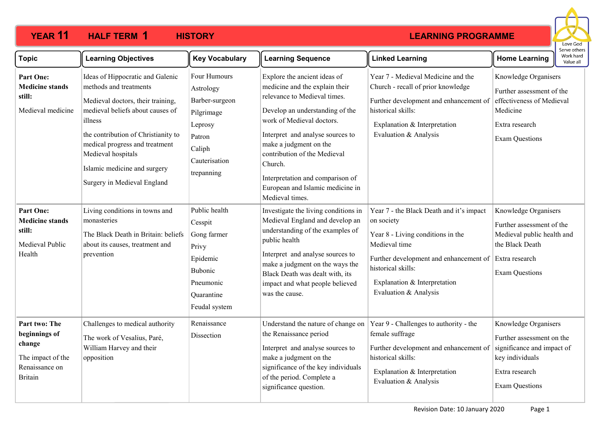

| <b>Topic</b>                                                                                      | <b>Learning Objectives</b>                                                                                                                                                                                                                                                                                   | <b>Key Vocabulary</b>                                                                                                   | <b>Learning Sequence</b>                                                                                                                                                                                                                                                                                                                                           | <b>Linked Learning</b>                                                                                                                                                                                                                | <b>Home Learning</b>                                                                                                                          | Work hard<br>Value all |
|---------------------------------------------------------------------------------------------------|--------------------------------------------------------------------------------------------------------------------------------------------------------------------------------------------------------------------------------------------------------------------------------------------------------------|-------------------------------------------------------------------------------------------------------------------------|--------------------------------------------------------------------------------------------------------------------------------------------------------------------------------------------------------------------------------------------------------------------------------------------------------------------------------------------------------------------|---------------------------------------------------------------------------------------------------------------------------------------------------------------------------------------------------------------------------------------|-----------------------------------------------------------------------------------------------------------------------------------------------|------------------------|
| Part One:<br><b>Medicine stands</b><br>still:<br>Medieval medicine                                | Ideas of Hippocratic and Galenic<br>methods and treatments<br>Medieval doctors, their training,<br>medieval beliefs about causes of<br>illness<br>the contribution of Christianity to<br>medical progress and treatment<br>Medieval hospitals<br>Islamic medicine and surgery<br>Surgery in Medieval England | Four Humours<br>Astrology<br>Barber-surgeon<br>Pilgrimage<br>Leprosy<br>Patron<br>Caliph<br>Cauterisation<br>trepanning | Explore the ancient ideas of<br>medicine and the explain their<br>relevance to Medieval times.<br>Develop an understanding of the<br>work of Medieval doctors.<br>Interpret and analyse sources to<br>make a judgment on the<br>contribution of the Medieval<br>Church.<br>Interpretation and comparison of<br>European and Islamic medicine in<br>Medieval times. | Year 7 - Medieval Medicine and the<br>Church - recall of prior knowledge<br>Further development and enhancement of<br>historical skills:<br>Explanation & Interpretation<br>Evaluation & Analysis                                     | Knowledge Organisers<br>Further assessment of the<br>effectiveness of Medieval<br>Medicine<br>Extra research<br><b>Exam Questions</b>         |                        |
| Part One:<br><b>Medicine stands</b><br>still:<br>Medieval Public<br>Health                        | Living conditions in towns and<br>monasteries<br>The Black Death in Britain: beliefs<br>about its causes, treatment and<br>prevention                                                                                                                                                                        | Public health<br>Cesspit<br>Gong farmer<br>Privy<br>Epidemic<br>Bubonic<br>Pneumonic<br>Quarantine<br>Feudal system     | Investigate the living conditions in<br>Medieval England and develop an<br>understanding of the examples of<br>public health<br>Interpret and analyse sources to<br>make a judgment on the ways the<br>Black Death was dealt with, its<br>impact and what people believed<br>was the cause.                                                                        | Year 7 - the Black Death and it's impact<br>on society<br>Year 8 - Living conditions in the<br>Medieval time<br>Further development and enhancement of<br>historical skills:<br>Explanation & Interpretation<br>Evaluation & Analysis | Knowledge Organisers<br>Further assessment of the<br>Medieval public health and<br>the Black Death<br>Extra research<br><b>Exam Questions</b> |                        |
| Part two: The<br>beginnings of<br>change<br>The impact of the<br>Renaissance on<br><b>Britain</b> | Challenges to medical authority<br>The work of Vesalius, Paré,<br>William Harvey and their<br>opposition                                                                                                                                                                                                     | Renaissance<br>Dissection                                                                                               | Understand the nature of change on<br>the Renaissance period<br>Interpret and analyse sources to<br>make a judgment on the<br>significance of the key individuals<br>of the period. Complete a<br>significance question.                                                                                                                                           | Year 9 - Challenges to authority - the<br>female suffrage<br>Further development and enhancement of<br>historical skills:<br>Explanation & Interpretation<br>Evaluation & Analysis                                                    | Knowledge Organisers<br>Further assessment on the<br>significance and impact of<br>key individuals<br>Extra research<br><b>Exam Questions</b> |                        |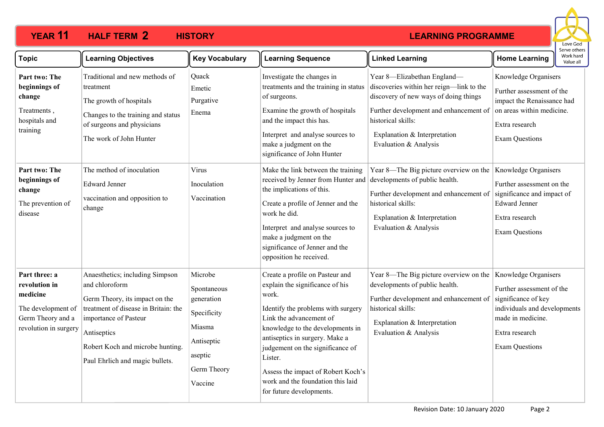

| <b>Topic</b>                                                                                                   | <b>Learning Objectives</b>                                                                                                                                                                                                                 | <b>Key Vocabulary</b>                                                                                            | <b>Learning Sequence</b>                                                                                                                                                                                                                                                                                                                                                 | <b>Linked Learning</b>                                                                                                                                                                                                                    | <b>Home Learning</b>                                                                                                                                                     | Work hard<br>Value all |
|----------------------------------------------------------------------------------------------------------------|--------------------------------------------------------------------------------------------------------------------------------------------------------------------------------------------------------------------------------------------|------------------------------------------------------------------------------------------------------------------|--------------------------------------------------------------------------------------------------------------------------------------------------------------------------------------------------------------------------------------------------------------------------------------------------------------------------------------------------------------------------|-------------------------------------------------------------------------------------------------------------------------------------------------------------------------------------------------------------------------------------------|--------------------------------------------------------------------------------------------------------------------------------------------------------------------------|------------------------|
| Part two: The<br>beginnings of<br>change<br>Treatments,<br>hospitals and<br>training                           | Traditional and new methods of<br>treatment<br>The growth of hospitals<br>Changes to the training and status<br>of surgeons and physicians<br>The work of John Hunter                                                                      | Quack<br>Emetic<br>Purgative<br>Enema                                                                            | Investigate the changes in<br>treatments and the training in status<br>of surgeons.<br>Examine the growth of hospitals<br>and the impact this has.<br>Interpret and analyse sources to<br>make a judgment on the<br>significance of John Hunter                                                                                                                          | Year 8-Elizabethan England-<br>discoveries within her reign-link to the<br>discovery of new ways of doing things<br>Further development and enhancement of<br>historical skills:<br>Explanation & Interpretation<br>Evaluation & Analysis | Knowledge Organisers<br>Further assessment of the<br>impact the Renaissance had<br>on areas within medicine.<br>Extra research<br><b>Exam Questions</b>                  |                        |
| Part two: The<br>beginnings of<br>change<br>The prevention of<br>disease                                       | The method of inoculation<br><b>Edward Jenner</b><br>vaccination and opposition to<br>change                                                                                                                                               | Virus<br>Inoculation<br>Vaccination                                                                              | Make the link between the training<br>received by Jenner from Hunter and<br>the implications of this.<br>Create a profile of Jenner and the<br>work he did.<br>Interpret and analyse sources to<br>make a judgment on the<br>significance of Jenner and the<br>opposition he received.                                                                                   | Year 8—The Big picture overview on the<br>developments of public health.<br>Further development and enhancement of<br>historical skills:<br>Explanation & Interpretation<br>Evaluation & Analysis                                         | Knowledge Organisers<br>Further assessment on the<br>significance and impact of<br><b>Edward Jenner</b><br>Extra research<br><b>Exam Questions</b>                       |                        |
| Part three: a<br>revolution in<br>medicine<br>The development of<br>Germ Theory and a<br>revolution in surgery | Anaesthetics; including Simpson<br>and chloroform<br>Germ Theory, its impact on the<br>treatment of disease in Britain: the<br>importance of Pasteur<br>Antiseptics<br>Robert Koch and microbe hunting.<br>Paul Ehrlich and magic bullets. | Microbe<br>Spontaneous<br>generation<br>Specificity<br>Miasma<br>Antiseptic<br>aseptic<br>Germ Theory<br>Vaccine | Create a profile on Pasteur and<br>explain the significance of his<br>work.<br>Identify the problems with surgery<br>Link the advancement of<br>knowledge to the developments in<br>antiseptics in surgery. Make a<br>judgement on the significance of<br>Lister.<br>Assess the impact of Robert Koch's<br>work and the foundation this laid<br>for future developments. | Year 8—The Big picture overview on the<br>developments of public health.<br>Further development and enhancement of<br>historical skills:<br>Explanation & Interpretation<br>Evaluation & Analysis                                         | Knowledge Organisers<br>Further assessment of the<br>significance of key<br>individuals and developments<br>made in medicine.<br>Extra research<br><b>Exam Questions</b> |                        |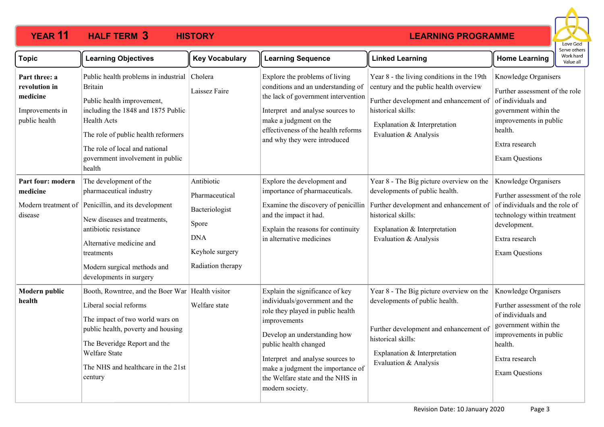

| <b>Topic</b>                                                                   | <b>Learning Objectives</b>                                                                                                                                                                                                                                              | <b>Key Vocabulary</b>                                                                                         | <b>Learning Sequence</b>                                                                                                                                                                                                                                                                                        | <b>Linked Learning</b>                                                                                                                                                                                        | Work hard<br><b>Home Learning</b><br>Value all                                                                                                                                        |
|--------------------------------------------------------------------------------|-------------------------------------------------------------------------------------------------------------------------------------------------------------------------------------------------------------------------------------------------------------------------|---------------------------------------------------------------------------------------------------------------|-----------------------------------------------------------------------------------------------------------------------------------------------------------------------------------------------------------------------------------------------------------------------------------------------------------------|---------------------------------------------------------------------------------------------------------------------------------------------------------------------------------------------------------------|---------------------------------------------------------------------------------------------------------------------------------------------------------------------------------------|
| Part three: a<br>revolution in<br>medicine<br>Improvements in<br>public health | Public health problems in industrial<br><b>Britain</b><br>Public health improvement,<br>including the 1848 and 1875 Public<br><b>Health Acts</b><br>The role of public health reformers<br>The role of local and national<br>government involvement in public<br>health | Cholera<br>Laissez Faire                                                                                      | Explore the problems of living<br>conditions and an understanding of<br>the lack of government intervention<br>Interpret and analyse sources to<br>make a judgment on the<br>effectiveness of the health reforms<br>and why they were introduced                                                                | Year 8 - the living conditions in the 19th<br>century and the public health overview<br>Further development and enhancement of<br>historical skills:<br>Explanation & Interpretation<br>Evaluation & Analysis | Knowledge Organisers<br>Further assessment of the role<br>of individuals and<br>government within the<br>improvements in public<br>health.<br>Extra research<br><b>Exam Questions</b> |
| Part four: modern<br>medicine<br>disease                                       | The development of the<br>pharmaceutical industry<br>Modern treatment of Penicillin, and its development<br>New diseases and treatments,<br>antibiotic resistance<br>Alternative medicine and<br>treatments<br>Modern surgical methods and<br>developments in surgery   | Antibiotic<br>Pharmaceutical<br>Bacteriologist<br>Spore<br><b>DNA</b><br>Keyhole surgery<br>Radiation therapy | Explore the development and<br>importance of pharmaceuticals.<br>Examine the discovery of penicillin<br>and the impact it had.<br>Explain the reasons for continuity<br>in alternative medicines                                                                                                                | Year 8 - The Big picture overview on the<br>developments of public health.<br>Further development and enhancement of<br>historical skills:<br>Explanation & Interpretation<br>Evaluation & Analysis           | Knowledge Organisers<br>Further assessment of the role<br>of individuals and the role of<br>technology within treatment<br>development.<br>Extra research<br><b>Exam Questions</b>    |
| <b>Modern public</b><br>health                                                 | Booth, Rowntree, and the Boer War   Health visitor<br>Liberal social reforms<br>The impact of two world wars on<br>public health, poverty and housing<br>The Beveridge Report and the<br>Welfare State<br>The NHS and healthcare in the 21st<br>century                 | Welfare state                                                                                                 | Explain the significance of key<br>individuals/government and the<br>role they played in public health<br>improvements<br>Develop an understanding how<br>public health changed<br>Interpret and analyse sources to<br>make a judgment the importance of<br>the Welfare state and the NHS in<br>modern society. | Year 8 - The Big picture overview on the<br>developments of public health.<br>Further development and enhancement of<br>historical skills:<br>Explanation & Interpretation<br>Evaluation & Analysis           | Knowledge Organisers<br>Further assessment of the role<br>of individuals and<br>government within the<br>improvements in public<br>health.<br>Extra research<br><b>Exam Questions</b> |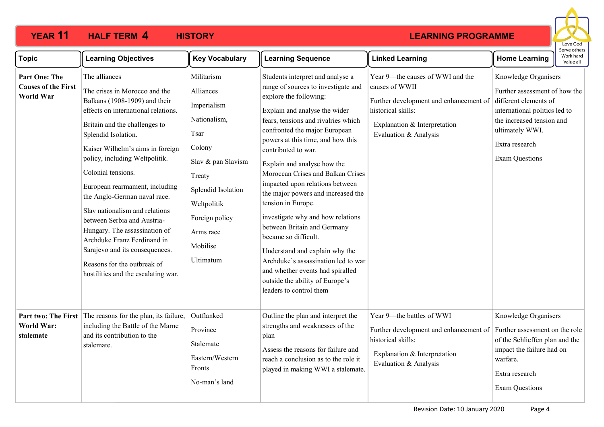

| <b>Topic</b>                                                    | <b>Learning Objectives</b>                                                                                                                                                                                                                                                                                                                                                                                                                                                                                                                                                            | <b>Key Vocabulary</b>                                                                                                                                                                                 | <b>Learning Sequence</b>                                                                                                                                                                                                                                                                                                                                                                                                                                                                                                                                                                                                                                                                                         | <b>Linked Learning</b>                                                                                                                                                      | בו אב חיוובו:<br>Work hard<br><b>Home Learning</b><br>Value all                                                                                                                                            |  |
|-----------------------------------------------------------------|---------------------------------------------------------------------------------------------------------------------------------------------------------------------------------------------------------------------------------------------------------------------------------------------------------------------------------------------------------------------------------------------------------------------------------------------------------------------------------------------------------------------------------------------------------------------------------------|-------------------------------------------------------------------------------------------------------------------------------------------------------------------------------------------------------|------------------------------------------------------------------------------------------------------------------------------------------------------------------------------------------------------------------------------------------------------------------------------------------------------------------------------------------------------------------------------------------------------------------------------------------------------------------------------------------------------------------------------------------------------------------------------------------------------------------------------------------------------------------------------------------------------------------|-----------------------------------------------------------------------------------------------------------------------------------------------------------------------------|------------------------------------------------------------------------------------------------------------------------------------------------------------------------------------------------------------|--|
| <b>Part One: The</b><br><b>Causes of the First</b><br>World War | The alliances<br>The crises in Morocco and the<br>Balkans (1908-1909) and their<br>effects on international relations.<br>Britain and the challenges to<br>Splendid Isolation.<br>Kaiser Wilhelm's aims in foreign<br>policy, including Weltpolitik.<br>Colonial tensions.<br>European rearmament, including<br>the Anglo-German naval race.<br>Slav nationalism and relations<br>between Serbia and Austria-<br>Hungary. The assassination of<br>Archduke Franz Ferdinand in<br>Sarajevo and its consequences.<br>Reasons for the outbreak of<br>hostilities and the escalating war. | Militarism<br>Alliances<br>Imperialism<br>Nationalism,<br>Tsar<br>Colony<br>Slav & pan Slavism<br>Treaty<br>Splendid Isolation<br>Weltpolitik<br>Foreign policy<br>Arms race<br>Mobilise<br>Ultimatum | Students interpret and analyse a<br>range of sources to investigate and<br>explore the following:<br>Explain and analyse the wider<br>fears, tensions and rivalries which<br>confronted the major European<br>powers at this time, and how this<br>contributed to war.<br>Explain and analyse how the<br>Moroccan Crises and Balkan Crises<br>impacted upon relations between<br>the major powers and increased the<br>tension in Europe.<br>investigate why and how relations<br>between Britain and Germany<br>became so difficult.<br>Understand and explain why the<br>Archduke's assassination led to war<br>and whether events had spiralled<br>outside the ability of Europe's<br>leaders to control them | Year 9-the causes of WWI and the<br>causes of WWII<br>Further development and enhancement of<br>historical skills:<br>Explanation & Interpretation<br>Evaluation & Analysis | Knowledge Organisers<br>Further assessment of how the<br>different elements of<br>international politics led to<br>the increased tension and<br>ultimately WWI.<br>Extra research<br><b>Exam Questions</b> |  |
| Part two: The First<br><b>World War:</b><br>stalemate           | The reasons for the plan, its failure,<br>including the Battle of the Marne<br>and its contribution to the<br>stalemate.                                                                                                                                                                                                                                                                                                                                                                                                                                                              | Outflanked<br>Province<br>Stalemate<br>Eastern/Western<br>Fronts<br>No-man's land                                                                                                                     | Outline the plan and interpret the<br>strengths and weaknesses of the<br>plan<br>Assess the reasons for failure and<br>reach a conclusion as to the role it<br>played in making WWI a stalemate.                                                                                                                                                                                                                                                                                                                                                                                                                                                                                                                 | Year 9-the battles of WWI<br>Further development and enhancement of<br>historical skills:<br>Explanation & Interpretation<br>Evaluation & Analysis                          | Knowledge Organisers<br>Further assessment on the role<br>of the Schlieffen plan and the<br>impact the failure had on<br>warfare.<br>Extra research<br><b>Exam Questions</b>                               |  |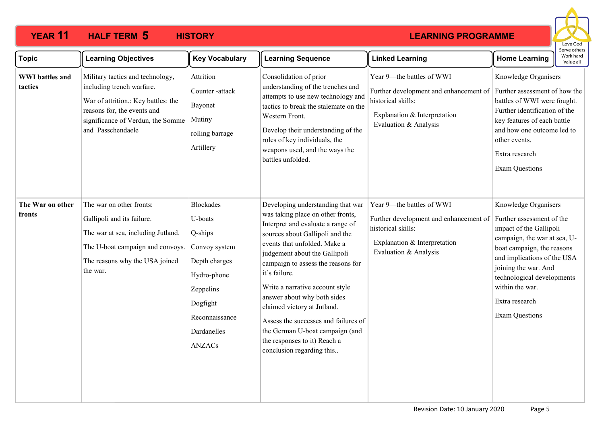

| <b>Topic</b>                      | <b>Learning Objectives</b>                                                                                                                                                                    | <b>Key Vocabulary</b>                                                                                                                                              | <b>Learning Sequence</b>                                                                                                                                                                                                                                                                                                                                                                                                                                                                                        | <b>Linked Learning</b>                                                                                                                                                           | : וסנווכו<br>Work hard<br><b>Home Learning</b><br>Value all                                                                                                                                                                                                                                   |
|-----------------------------------|-----------------------------------------------------------------------------------------------------------------------------------------------------------------------------------------------|--------------------------------------------------------------------------------------------------------------------------------------------------------------------|-----------------------------------------------------------------------------------------------------------------------------------------------------------------------------------------------------------------------------------------------------------------------------------------------------------------------------------------------------------------------------------------------------------------------------------------------------------------------------------------------------------------|----------------------------------------------------------------------------------------------------------------------------------------------------------------------------------|-----------------------------------------------------------------------------------------------------------------------------------------------------------------------------------------------------------------------------------------------------------------------------------------------|
| <b>WWI</b> battles and<br>tactics | Military tactics and technology,<br>including trench warfare.<br>War of attrition.: Key battles: the<br>reasons for, the events and<br>significance of Verdun, the Somme<br>and Passchendaele | Attrition<br>Counter-attack<br>Bayonet<br>Mutiny<br>rolling barrage<br>Artillery                                                                                   | Consolidation of prior<br>understanding of the trenches and<br>attempts to use new technology and<br>tactics to break the stalemate on the<br>Western Front.<br>Develop their understanding of the<br>roles of key individuals, the<br>weapons used, and the ways the<br>battles unfolded.                                                                                                                                                                                                                      | Year 9-the battles of WWI<br>Further development and enhancement of Further assessment of how the<br>historical skills:<br>Explanation & Interpretation<br>Evaluation & Analysis | Knowledge Organisers<br>battles of WWI were fought.<br>Further identification of the<br>key features of each battle<br>and how one outcome led to<br>other events.<br>Extra research<br><b>Exam Questions</b>                                                                                 |
| The War on other<br>fronts        | The war on other fronts:<br>Gallipoli and its failure.<br>The war at sea, including Jutland.<br>The U-boat campaign and convoys.<br>The reasons why the USA joined<br>the war.                | <b>Blockades</b><br>U-boats<br>Q-ships<br>Convoy system<br>Depth charges<br>Hydro-phone<br>Zeppelins<br>Dogfight<br>Reconnaissance<br>Dardanelles<br><b>ANZACs</b> | Developing understanding that war<br>was taking place on other fronts,<br>Interpret and evaluate a range of<br>sources about Gallipoli and the<br>events that unfolded. Make a<br>judgement about the Gallipoli<br>campaign to assess the reasons for<br>it's failure.<br>Write a narrative account style<br>answer about why both sides<br>claimed victory at Jutland.<br>Assess the successes and failures of<br>the German U-boat campaign (and<br>the responses to it) Reach a<br>conclusion regarding this | Year 9-the battles of WWI<br>Further development and enhancement of<br>historical skills:<br>Explanation & Interpretation<br>Evaluation & Analysis                               | Knowledge Organisers<br>Further assessment of the<br>impact of the Gallipoli<br>campaign, the war at sea, U-<br>boat campaign, the reasons<br>and implications of the USA<br>joining the war. And<br>technological developments<br>within the war.<br>Extra research<br><b>Exam Questions</b> |